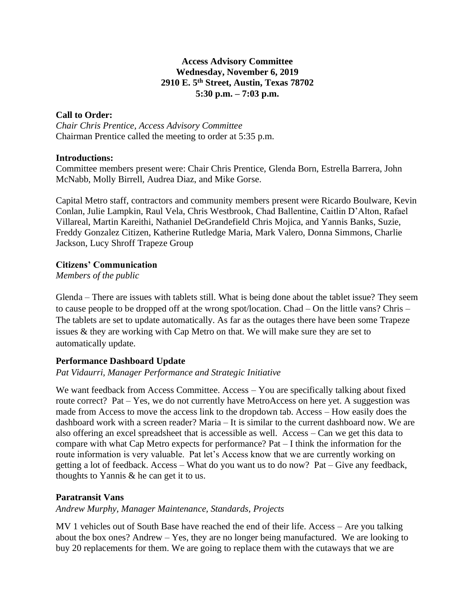#### **Access Advisory Committee Wednesday, November 6, 2019 2910 E. 5th Street, Austin, Texas 78702 5:30 p.m. – 7:03 p.m.**

### **Call to Order:**

*Chair Chris Prentice, Access Advisory Committee* Chairman Prentice called the meeting to order at 5:35 p.m.

#### **Introductions:**

Committee members present were: Chair Chris Prentice, Glenda Born, Estrella Barrera, John McNabb, Molly Birrell, Audrea Diaz, and Mike Gorse.

Capital Metro staff, contractors and community members present were Ricardo Boulware, Kevin Conlan, Julie Lampkin, Raul Vela, Chris Westbrook, Chad Ballentine, Caitlin D'Alton, Rafael Villareal, Martin Kareithi, Nathaniel DeGrandefield Chris Mojica, and Yannis Banks, Suzie, Freddy Gonzalez Citizen, Katherine Rutledge Maria, Mark Valero, Donna Simmons, Charlie Jackson, Lucy Shroff Trapeze Group

## **Citizens' Communication**

*Members of the public*

Glenda – There are issues with tablets still. What is being done about the tablet issue? They seem to cause people to be dropped off at the wrong spot/location. Chad – On the little vans? Chris – The tablets are set to update automatically. As far as the outages there have been some Trapeze issues & they are working with Cap Metro on that. We will make sure they are set to automatically update.

# **Performance Dashboard Update**

## *Pat Vidaurri, Manager Performance and Strategic Initiative*

We want feedback from Access Committee. Access – You are specifically talking about fixed route correct? Pat – Yes, we do not currently have MetroAccess on here yet. A suggestion was made from Access to move the access link to the dropdown tab. Access – How easily does the dashboard work with a screen reader? Maria – It is similar to the current dashboard now. We are also offering an excel spreadsheet that is accessible as well. Access – Can we get this data to compare with what Cap Metro expects for performance? Pat – I think the information for the route information is very valuable. Pat let's Access know that we are currently working on getting a lot of feedback. Access – What do you want us to do now? Pat – Give any feedback, thoughts to Yannis & he can get it to us.

## **Paratransit Vans**

## *Andrew Murphy, Manager Maintenance, Standards, Projects*

MV 1 vehicles out of South Base have reached the end of their life. Access – Are you talking about the box ones? Andrew – Yes, they are no longer being manufactured. We are looking to buy 20 replacements for them. We are going to replace them with the cutaways that we are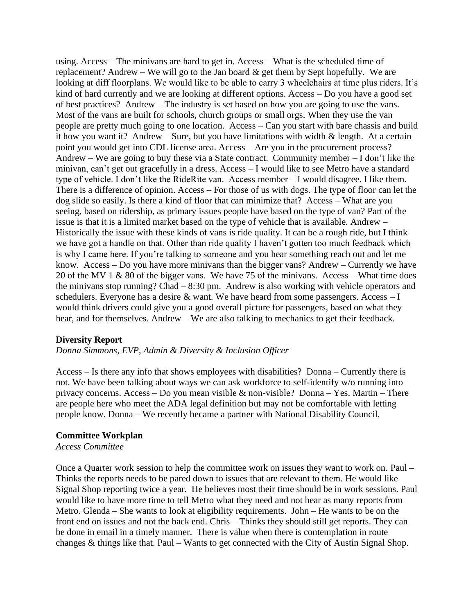using. Access – The minivans are hard to get in. Access – What is the scheduled time of replacement? Andrew – We will go to the Jan board  $\&$  get them by Sept hopefully. We are looking at diff floorplans. We would like to be able to carry 3 wheelchairs at time plus riders. It's kind of hard currently and we are looking at different options. Access – Do you have a good set of best practices? Andrew – The industry is set based on how you are going to use the vans. Most of the vans are built for schools, church groups or small orgs. When they use the van people are pretty much going to one location. Access – Can you start with bare chassis and build it how you want it? Andrew – Sure, but you have limitations with width  $\&$  length. At a certain point you would get into CDL license area. Access – Are you in the procurement process? Andrew – We are going to buy these via a State contract. Community member – I don't like the minivan, can't get out gracefully in a dress. Access – I would like to see Metro have a standard type of vehicle. I don't like the RideRite van. Access member – I would disagree. I like them. There is a difference of opinion. Access – For those of us with dogs. The type of floor can let the dog slide so easily. Is there a kind of floor that can minimize that? Access – What are you seeing, based on ridership, as primary issues people have based on the type of van? Part of the issue is that it is a limited market based on the type of vehicle that is available. Andrew – Historically the issue with these kinds of vans is ride quality. It can be a rough ride, but I think we have got a handle on that. Other than ride quality I haven't gotten too much feedback which is why I came here. If you're talking to someone and you hear something reach out and let me know. Access – Do you have more minivans than the bigger vans? Andrew – Currently we have 20 of the MV 1 & 80 of the bigger vans. We have 75 of the minivans. Access – What time does the minivans stop running? Chad – 8:30 pm. Andrew is also working with vehicle operators and schedulers. Everyone has a desire  $\&$  want. We have heard from some passengers. Access  $-I$ would think drivers could give you a good overall picture for passengers, based on what they hear, and for themselves. Andrew – We are also talking to mechanics to get their feedback.

#### **Diversity Report**

*Donna Simmons, EVP, Admin & Diversity & Inclusion Officer* 

Access – Is there any info that shows employees with disabilities? Donna – Currently there is not. We have been talking about ways we can ask workforce to self-identify w/o running into privacy concerns. Access – Do you mean visible & non-visible? Donna – Yes. Martin – There are people here who meet the ADA legal definition but may not be comfortable with letting people know. Donna – We recently became a partner with National Disability Council.

#### **Committee Workplan**

*Access Committee*

Once a Quarter work session to help the committee work on issues they want to work on. Paul – Thinks the reports needs to be pared down to issues that are relevant to them. He would like Signal Shop reporting twice a year. He believes most their time should be in work sessions. Paul would like to have more time to tell Metro what they need and not hear as many reports from Metro. Glenda – She wants to look at eligibility requirements. John – He wants to be on the front end on issues and not the back end. Chris – Thinks they should still get reports. They can be done in email in a timely manner. There is value when there is contemplation in route changes & things like that. Paul – Wants to get connected with the City of Austin Signal Shop.